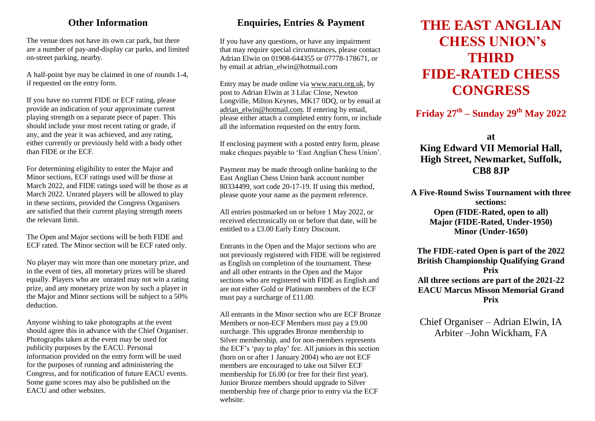#### **Other Information**

The venue does not have its own car park, but there are a number of pay-and-display car parks, and limited on-street parking, nearby.

A half-point bye may be claimed in one of rounds 1-4, if requested on the entry form.

If you have no current FIDE or ECF rating, please provide an indication of your approximate current playing strength on a separate piece of paper. This should include your most recent rating or grade, if any, and the year it was achieved, and any rating, either currently or previously held with a body other than FIDE or the ECF.

For determining eligibility to enter the Major and Minor sections, ECF ratings used will be those at March 2022, and FIDE ratings used will be those as at March 2022. Unrated players will be allowed to play in these sections, provided the Congress Organisers are satisfied that their current playing strength meets the relevant limit.

The Open and Major sections will be both FIDE and ECF rated. The Minor section will be ECF rated only.

No player may win more than one monetary prize, and in the event of ties, all monetary prizes will be shared equally. Players who are unrated may not win a rating prize, and any monetary prize won by such a player in the Major and Minor sections will be subject to a 50% deduction.

Anyone wishing to take photographs at the event should agree this in advance with the Chief Organiser. Photographs taken at the event may be used for publicity purposes by the EACU. Personal information provided on the entry form will be used for the purposes of running and administering the Congress, and for notification of future EACU events. Some game scores may also be published on the EACU and other websites.

## **Enquiries, Entries & Payment**

If you have any questions, or have any impairment that may require special circumstances, please contact Adrian Elwin on 01908-644355 or 07778-178671, or by email at adrian\_elwin@hotmail.com

Entry may be made online via [www.eacu.org.uk,](http://www.eacu.org.uk/) by post to Adrian Elwin at 3 Lilac Close, Newton Longville, Milton Keynes, MK17 0DQ, or by email at [adrian\\_elwin@hotmail.com.](mailto:adrian_elwin@hotmail.com) If entering by email, please either attach a completed entry form, or include all the information requested on the entry form.

If enclosing payment with a posted entry form, please make cheques payable to 'East Anglian Chess Union'.

Payment may be made through online banking to the East Anglian Chess Union bank account number 80334499, sort code 20-17-19. If using this method, please quote your name as the payment reference.

All entries postmarked on or before 1 May 2022, or received electronically on or before that date, will be entitled to a £3.00 Early Entry Discount.

Entrants in the Open and the Major sections who are not previously registered with FIDE will be registered as English on completion of the tournament. These and all other entrants in the Open and the Major sections who are registered with FIDE as English and are not either Gold or Platinum members of the ECF must pay a surcharge of £11.00.

All entrants in the Minor section who are ECF Bronze Members or non-ECF Members must pay a £9.00 surcharge. This upgrades Bronze membership to Silver membership, and for non-members represents the ECF's 'pay to play' fee. All juniors in this section (born on or after 1 January 2004) who are not ECF members are encouraged to take out Silver ECF membership for £6.00 (or free for their first year). Junior Bronze members should upgrade to Silver membership free of charge prior to entry via the ECF website.

# **THE EAST ANGLIAN CHESS UNION's THIRD FIDE-RATED CHESS CONGRESS**

**Friday 27th – Sunday 29th May 2022**

**at King Edward VII Memorial Hall, High Street, Newmarket, Suffolk, CB8 8JP** 

**A Five-Round Swiss Tournament with three sections: Open (FIDE-Rated, open to all) Major (FIDE-Rated, Under-1950) Minor (Under-1650)**

**The FIDE-rated Open is part of the 2022 British Championship Qualifying Grand Prix All three sections are part of the 2021-22 EACU Marcus Misson Memorial Grand Prix**

Chief Organiser – Adrian Elwin, IA Arbiter –John Wickham, FA